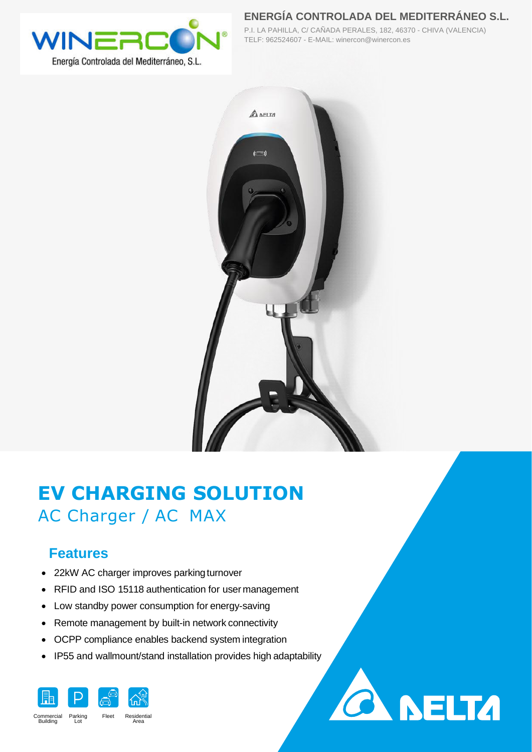

**ENERGÍA CONTROLADA DEL MEDITERRÁNEO S.L.**

**CA NELTA** 

P.I. LA PAHILLA, C/ CAÑADA PERALES, 182, 46370 - CHIVA (VALENCIA) TELF: 962524607 - E-MAIL: winercon@winercon.es



# **EV CHARGING SOLUTION** AC Charger / AC MAX

### **Features**

- 22kW AC charger improves parking turnover
- RFID and ISO 15118 authentication for user management
- Low standby power consumption for energy-saving
- Remote management by built-in network connectivity
- OCPP compliance enables backend system integration
- IP55 and wallmount/stand installation provides high adaptability

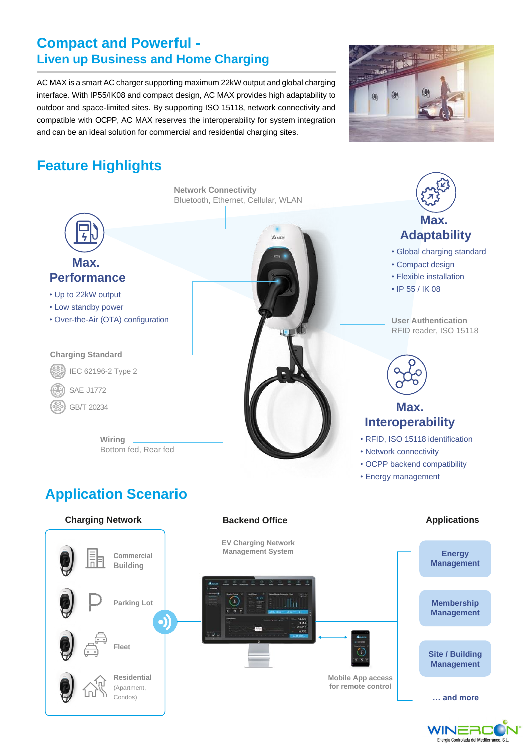#### **Compact and Powerful - Liven up Business and Home Charging**

AC MAX is a smart AC charger supporting maximum 22kW output and global charging interface. With IP55/IK08 and compact design, AC MAX provides high adaptability to outdoor and space-limited sites. By supporting ISO 15118, network connectivity and compatible with OCPP, AC MAX reserves the interoperability for system integration and can be an ideal solution for commercial and residential charging sites.



## **Feature Highlights**